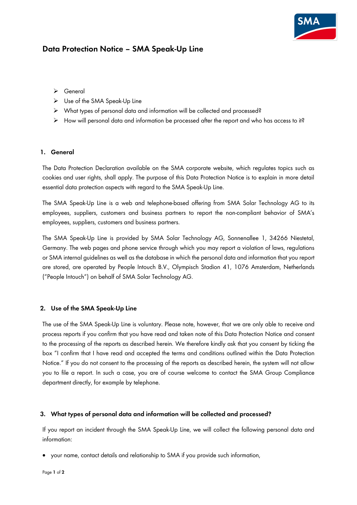# **Data Protection Notice – SMA Speak-Up Line**

- ➢ General
- ➢ Use of the SMA Speak-Up Line
- ➢ What types of personal data and information will be collected and processed?
- ➢ How will personal data and information be processed after the report and who has access to it?

### **1. General**

The Data Protection Declaration available on the SMA corporate website, which regulates topics such as cookies and user rights, shall apply. The purpose of this Data Protection Notice is to explain in more detail essential data protection aspects with regard to the SMA Speak-Up Line.

The SMA Speak-Up Line is a web and telephone-based offering from SMA Solar Technology AG to its employees, suppliers, customers and business partners to report the non-compliant behavior of SMA's employees, suppliers, customers and business partners.

The SMA Speak-Up Line is provided by SMA Solar Technology AG, Sonnenallee 1, 34266 Niestetal, Germany. The web pages and phone service through which you may report a violation of laws, regulations or SMA internal guidelines as well as the database in which the personal data and information that you report are stored, are operated by People Intouch B.V., Olympisch Stadion 41, 1076 Amsterdam, Netherlands ("People Intouch") on behalf of SMA Solar Technology AG.

#### **2. Use of the SMA Speak-Up Line**

The use of the SMA Speak-Up Line is voluntary. Please note, however, that we are only able to receive and process reports if you confirm that you have read and taken note of this Data Protection Notice and consent to the processing of the reports as described herein. We therefore kindly ask that you consent by ticking the box "I confirm that I have read and accepted the terms and conditions outlined within the [Data Protection](http://www.sma.de/fileadmin/content/global/Company/Documents/corporate_compliance/SMA_Speak_Up_Data_Protection_Policy.pdf)  [Notice](http://www.sma.de/fileadmin/content/global/Company/Documents/corporate_compliance/SMA_Speak_Up_Data_Protection_Policy.pdf)." If you do not consent to the processing of the reports as described herein, the system will not allow you to file a report. In such a case, you are of course welcome to contact the SMA Group Compliance department directly, for example by telephone.

#### **3. What types of personal data and information will be collected and processed?**

If you report an incident through the SMA Speak-Up Line, we will collect the following personal data and information:

• your name, contact details and relationship to SMA if you provide such information,